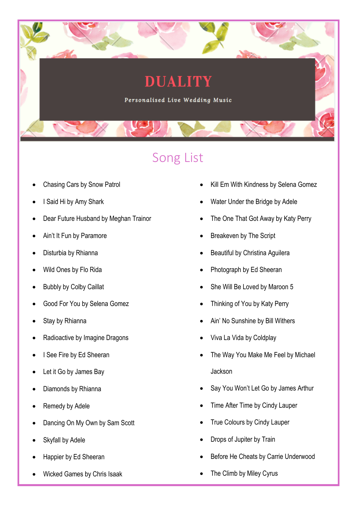## **DUALITY**

Personalised Live Wedding Music

## Song List

- Chasing Cars by Snow Patrol
- I Said Hi by Amy Shark
- Dear Future Husband by Meghan Trainor
- Ain't It Fun by Paramore
- Disturbia by Rhianna
- Wild Ones by Flo Rida
- **Bubbly by Colby Caillat**
- Good For You by Selena Gomez
- Stay by Rhianna
- Radioactive by Imagine Dragons
- I See Fire by Ed Sheeran
- Let it Go by James Bay
- Diamonds by Rhianna
- Remedy by Adele
- Dancing On My Own by Sam Scott
- Skyfall by Adele
- Happier by Ed Sheeran
- Wicked Games by Chris Isaak
- Kill Em With Kindness by Selena Gomez
- Water Under the Bridge by Adele
- The One That Got Away by Katy Perry
- Breakeven by The Script
- Beautiful by Christina Aguilera
- Photograph by Ed Sheeran
- She Will Be Loved by Maroon 5
- Thinking of You by Katy Perry
- Ain' No Sunshine by Bill Withers
- Viva La Vida by Coldplay
- The Way You Make Me Feel by Michael Jackson
- Say You Won't Let Go by James Arthur
- Time After Time by Cindy Lauper
- True Colours by Cindy Lauper
- Drops of Jupiter by Train
- Before He Cheats by Carrie Underwood
- The Climb by Miley Cyrus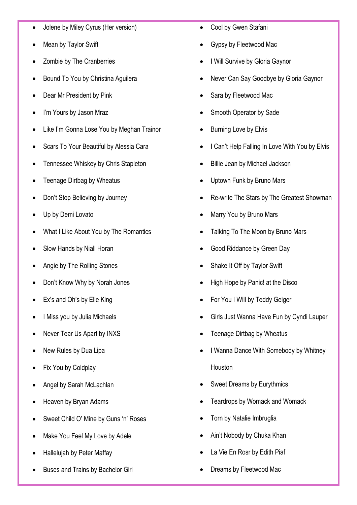- Jolene by Miley Cyrus (Her version)
- Mean by Taylor Swift
- Zombie by The Cranberries
- Bound To You by Christina Aguilera
- Dear Mr President by Pink
- I'm Yours by Jason Mraz
- Like I'm Gonna Lose You by Meghan Trainor
- Scars To Your Beautiful by Alessia Cara
- Tennessee Whiskey by Chris Stapleton
- Teenage Dirtbag by Wheatus
- Don't Stop Believing by Journey
- Up by Demi Lovato
- What I Like About You by The Romantics
- Slow Hands by Niall Horan
- Angie by The Rolling Stones
- Don't Know Why by Norah Jones
- Ex's and Oh's by Elle King
- I Miss you by Julia Michaels
- Never Tear Us Apart by INXS
- New Rules by Dua Lipa
- Fix You by Coldplay
- Angel by Sarah McLachlan
- Heaven by Bryan Adams
- Sweet Child O' Mine by Guns 'n' Roses
- Make You Feel My Love by Adele
- Hallelujah by Peter Maffay
- Buses and Trains by Bachelor Girl
- Cool by Gwen Stafani
- Gypsy by Fleetwood Mac
- I Will Survive by Gloria Gaynor
- Never Can Say Goodbye by Gloria Gaynor
- Sara by Fleetwood Mac
- Smooth Operator by Sade
- **Burning Love by Elvis**
- I Can't Help Falling In Love With You by Elvis
- Billie Jean by Michael Jackson
- Uptown Funk by Bruno Mars
- Re-write The Stars by The Greatest Showman
- Marry You by Bruno Mars
- Talking To The Moon by Bruno Mars
- Good Riddance by Green Day
- Shake It Off by Taylor Swift
- High Hope by Panic! at the Disco
- For You I Will by Teddy Geiger
- Girls Just Wanna Have Fun by Cyndi Lauper
- Teenage Dirtbag by Wheatus
- I Wanna Dance With Somebody by Whitney Houston
- Sweet Dreams by Eurythmics
- Teardrops by Womack and Womack
- Torn by Natalie Imbruglia
- Ain't Nobody by Chuka Khan
- La Vie En Rosr by Edith Piaf
- Dreams by Fleetwood Mac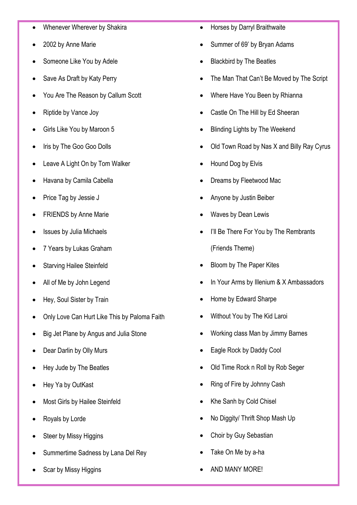- Whenever Wherever by Shakira
- 2002 by Anne Marie
- Someone Like You by Adele
- Save As Draft by Katy Perry
- You Are The Reason by Callum Scott
- Riptide by Vance Joy
- Girls Like You by Maroon 5
- Iris by The Goo Goo Dolls
- Leave A Light On by Tom Walker
- Havana by Camila Cabella
- Price Tag by Jessie J
- FRIENDS by Anne Marie
- Issues by Julia Michaels
- 7 Years by Lukas Graham
- **Starving Hailee Steinfeld**
- All of Me by John Legend
- Hey, Soul Sister by Train
- Only Love Can Hurt Like This by Paloma Faith
- Big Jet Plane by Angus and Julia Stone
- Dear Darlin by Olly Murs
- Hey Jude by The Beatles
- Hey Ya by OutKast
- Most Girls by Hailee Steinfeld
- Royals by Lorde
- Steer by Missy Higgins
- Summertime Sadness by Lana Del Rey
- Scar by Missy Higgins
- Horses by Darryl Braithwaite
- Summer of 69' by Bryan Adams
- Blackbird by The Beatles
- The Man That Can't Be Moved by The Script
- Where Have You Been by Rhianna
- Castle On The Hill by Ed Sheeran
- **Blinding Lights by The Weekend**
- Old Town Road by Nas X and Billy Ray Cyrus
- Hound Dog by Elvis
- Dreams by Fleetwood Mac
- Anyone by Justin Beiber
- Waves by Dean Lewis
- I'll Be There For You by The Rembrants (Friends Theme)
- Bloom by The Paper Kites
- In Your Arms by Illenium & X Ambassadors
- Home by Edward Sharpe
- Without You by The Kid Laroi
- Working class Man by Jimmy Barnes
- Eagle Rock by Daddy Cool
- Old Time Rock n Roll by Rob Seger
- Ring of Fire by Johnny Cash
- Khe Sanh by Cold Chisel
- No Diggity/ Thrift Shop Mash Up
- Choir by Guy Sebastian
- Take On Me by a-ha
- AND MANY MORE!